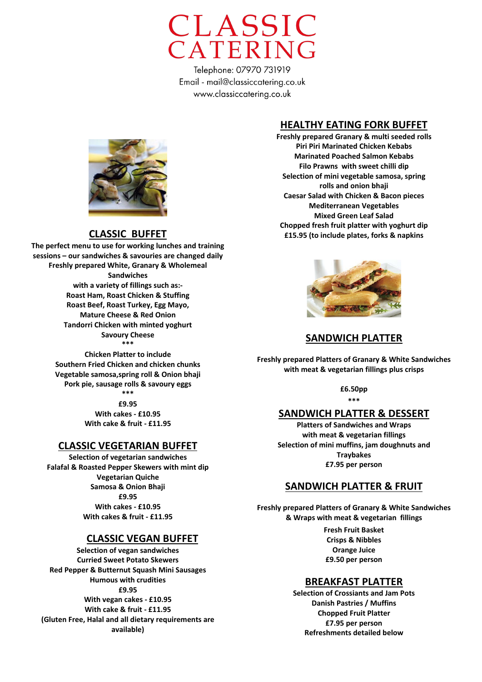

### **HEALTHY EATING FORK BUFFET**

**Freshly prepared Granary & multi seeded rolls Piri Piri Marinated Chicken Kebabs Marinated Poached Salmon Kebabs Filo Prawns with sweet chilli dip Selection of mini vegetable samosa, spring rolls and onion bhaji Caesar Salad with Chicken & Bacon pieces Mediterranean Vegetables Mixed Green Leaf Salad Chopped fresh fruit platter with yoghurt dip £15.95 (to include plates, forks & napkins** 



### **SANDWICH PLATTER**

**Freshly prepared Platters of Granary & White Sandwiches with meat & vegetarian fillings plus crisps** 

**£6.50pp** 

# **\*\*\***

# **SANDWICH PLATTER & DESSERT**

**Platters of Sandwiches and Wraps with meat & vegetarian fillings Selection of mini muffins, jam doughnuts and Traybakes £7.95 per person** 

### **SANDWICH PLATTER & FRUIT**

**Freshly prepared Platters of Granary & White Sandwiches & Wraps with meat & vegetarian fillings**

> **Fresh Fruit Basket Crisps & Nibbles Orange Juice £9.50 per person**

#### **BREAKFAST PLATTER**

**Selection of Crossiants and Jam Pots Danish Pastries / Muffins Chopped Fruit Platter £7.95 per person Refreshments detailed below**



#### **CLASSIC BUFFET**

**The perfect menu to use for working lunches and training sessions – our sandwiches & savouries are changed daily Freshly prepared White, Granary & Wholemeal Sandwiches with a variety of fillings such as:- Roast Ham, Roast Chicken & Stuffing Roast Beef, Roast Turkey, Egg Mayo, Mature Cheese & Red Onion Tandorri Chicken with minted yoghurt Savoury Cheese \*\*\* Chicken Platter to include** 

**Southern Fried Chicken and chicken chunks Vegetable samosa,spring roll & Onion bhaji Pork pie, sausage rolls & savoury eggs \*\*\***

**£9.95 With cakes - £10.95 With cake & fruit - £11.95**

### **CLASSIC VEGETARIAN BUFFET**

**Selection of vegetarian sandwiches Falafal & Roasted Pepper Skewers with mint dip Vegetarian Quiche Samosa & Onion Bhaji £9.95 With cakes - £10.95 With cakes & fruit - £11.95**

#### **CLASSIC VEGAN BUFFET**

**Selection of vegan sandwiches Curried Sweet Potato Skewers Red Pepper & Butternut Squash Mini Sausages Humous with crudities £9.95 With vegan cakes - £10.95 With cake & fruit - £11.95 (Gluten Free, Halal and all dietary requirements are available)**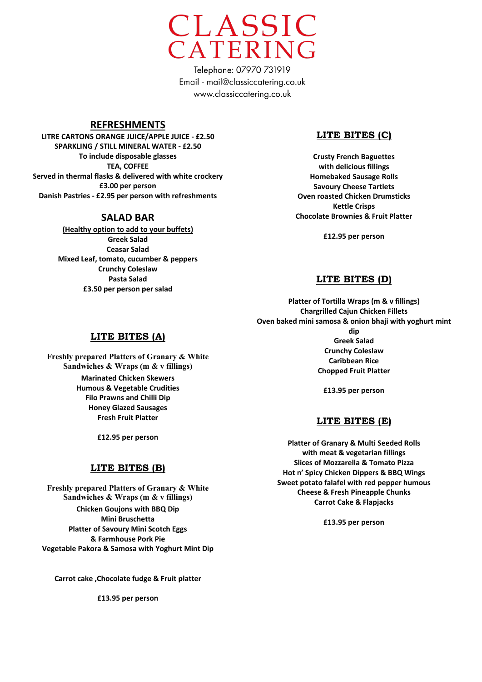

## **REFRESHMENTS**

**LITRE CARTONS ORANGE JUICE/APPLE JUICE - £2.50 SPARKLING / STILL MINERAL WATER - £2.50 To include disposable glasses TEA, COFFEE Served in thermal flasks & delivered with white crockery £3.00 per person Danish Pastries - £2.95 per person with refreshments**

## **SALAD BAR**

**(Healthy option to add to your buffets) Greek Salad Ceasar Salad Mixed Leaf, tomato, cucumber & peppers Crunchy Coleslaw Pasta Salad £3.50 per person per salad**

# **LITE BITES (C)**

**Crusty French Baguettes with delicious fillings Homebaked Sausage Rolls Savoury Cheese Tartlets Oven roasted Chicken Drumsticks Kettle Crisps Chocolate Brownies & Fruit Platter**

**£12.95 per person** 

## **LITE BITES (D)**

**Platter of Tortilla Wraps (m & v fillings) Chargrilled Cajun Chicken Fillets Oven baked mini samosa & onion bhaji with yoghurt mint** 

> **dip Greek Salad Crunchy Coleslaw Caribbean Rice Chopped Fruit Platter**

**£13.95 per person** 

# **LITE BITES (E)**

**Platter of Granary & Multi Seeded Rolls with meat & vegetarian fillings Slices of Mozzarella & Tomato Pizza Hot n' Spicy Chicken Dippers & BBQ Wings Sweet potato falafel with red pepper humous Cheese & Fresh Pineapple Chunks Carrot Cake & Flapjacks**

**£13.95 per person** 

### **LITE BITES (A)**

**Freshly prepared Platters of Granary & White Sandwiches & Wraps (m & v fillings) Marinated Chicken Skewers Humous & Vegetable Crudities Filo Prawns and Chilli Dip Honey Glazed Sausages Fresh Fruit Platter**

**£12.95 per person** 

### **LITE BITES (B)**

**Freshly prepared Platters of Granary & White Sandwiches & Wraps (m & v fillings) Chicken Goujons with BBQ Dip Mini Bruschetta Platter of Savoury Mini Scotch Eggs & Farmhouse Pork Pie Vegetable Pakora & Samosa with Yoghurt Mint Dip**

**Carrot cake ,Chocolate fudge & Fruit platter**

**£13.95 per person**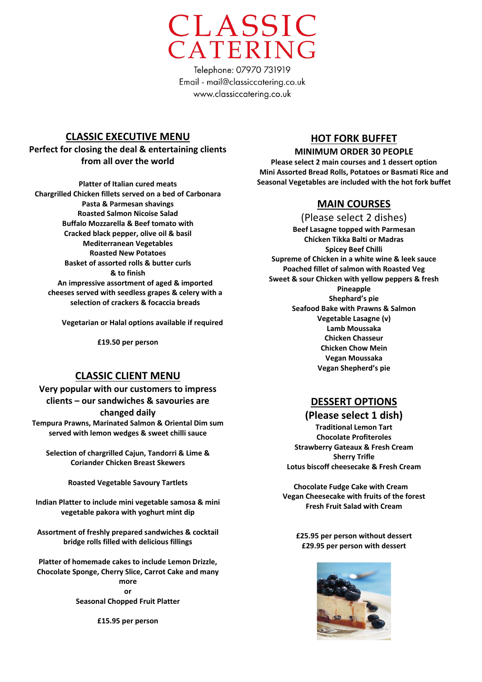

# **CLASSIC EXECUTIVE MENU**

**Perfect for closing the deal & entertaining clients from all over the world**

**Platter of Italian cured meats Chargrilled Chicken fillets served on a bed of Carbonara Pasta & Parmesan shavings Roasted Salmon Nicoise Salad Buffalo Mozzarella & Beef tomato with Cracked black pepper, olive oil & basil Mediterranean Vegetables Roasted New Potatoes Basket of assorted rolls & butter curls & to finish An impressive assortment of aged & imported cheeses served with seedless grapes & celery with a selection of crackers & focaccia breads**

**Vegetarian or Halal options available if required**

**£19.50 per person**

# **CLASSIC CLIENT MENU**

**Very popular with our customers to impress clients – our sandwiches & savouries are changed daily**

**Tempura Prawns, Marinated Salmon & Oriental Dim sum served with lemon wedges & sweet chilli sauce**

**Selection of chargrilled Cajun, Tandorri & Lime & Coriander Chicken Breast Skewers**

**Roasted Vegetable Savoury Tartlets**

**Indian Platter to include mini vegetable samosa & mini vegetable pakora with yoghurt mint dip**

**Assortment of freshly prepared sandwiches & cocktail bridge rolls filled with delicious fillings**

**Platter of homemade cakes to include Lemon Drizzle, Chocolate Sponge, Cherry Slice, Carrot Cake and many more or Seasonal Chopped Fruit Platter**

**£15.95 per person** 

# **HOT FORK BUFFET**

#### **MINIMUM ORDER 30 PEOPLE**

**Please select 2 main courses and 1 dessert option Mini Assorted Bread Rolls, Potatoes or Basmati Rice and Seasonal Vegetables are included with the hot fork buffet**

# **MAIN COURSES**

(Please select 2 dishes) **Beef Lasagne topped with Parmesan Chicken Tikka Balti or Madras Spicey Beef Chilli Supreme of Chicken in a white wine & leek sauce Poached fillet of salmon with Roasted Veg Sweet & sour Chicken with yellow peppers & fresh Pineapple Shephard's pie Seafood Bake with Prawns & Salmon Vegetable Lasagne (v) Lamb Moussaka Chicken Chasseur Chicken Chow Mein Vegan Moussaka Vegan Shepherd's pie**

# **DESSERT OPTIONS**

#### **(Please select 1 dish)**

**Traditional Lemon Tart Chocolate Profiteroles Strawberry Gateaux & Fresh Cream Sherry Trifle Lotus biscoff cheesecake & Fresh Cream**

 **Chocolate Fudge Cake with Cream Vegan Cheesecake with fruits of the forest Fresh Fruit Salad with Cream**

**£25.95 per person without dessert £29.95 per person with dessert**

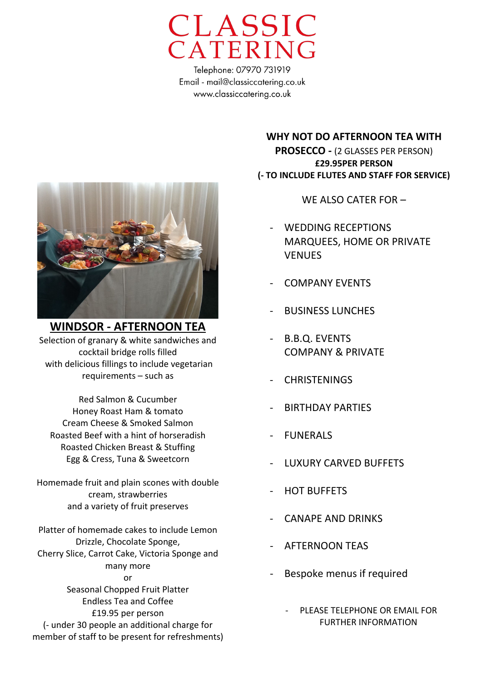



**WINDSOR - AFTERNOON TEA** Selection of granary & white sandwiches and cocktail bridge rolls filled with delicious fillings to include vegetarian requirements – such as

Red Salmon & Cucumber Honey Roast Ham & tomato Cream Cheese & Smoked Salmon Roasted Beef with a hint of horseradish Roasted Chicken Breast & Stuffing Egg & Cress, Tuna & Sweetcorn

Homemade fruit and plain scones with double cream, strawberries and a variety of fruit preserves

Platter of homemade cakes to include Lemon Drizzle, Chocolate Sponge, Cherry Slice, Carrot Cake, Victoria Sponge and many more or Seasonal Chopped Fruit Platter Endless Tea and Coffee £19.95 per person (- under 30 people an additional charge for member of staff to be present for refreshments)

**WHY NOT DO AFTERNOON TEA WITH PROSECCO -** (2 GLASSES PER PERSON) **£29.95PER PERSON (- TO INCLUDE FLUTES AND STAFF FOR SERVICE)**

WE ALSO CATER FOR –

- WEDDING RECEPTIONS MARQUEES, HOME OR PRIVATE **VENUES**
- COMPANY EVENTS
- BUSINESS LUNCHES
- B.B.Q. EVENTS COMPANY & PRIVATE
- **CHRISTENINGS**
- BIRTHDAY PARTIES
- FUNERALS
- LUXURY CARVED BUFFETS
- **HOT BUFFETS**
- CANAPE AND DRINKS
- AFTERNOON TEAS
- Bespoke menus if required
	- PLEASE TELEPHONE OR EMAIL FOR FURTHER INFORMATION